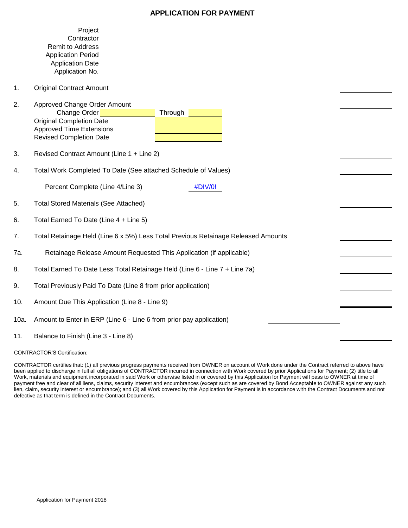# **APPLICATION FOR PAYMENT**

|      | Project<br>Contractor<br><b>Remit to Address</b><br><b>Application Period</b><br><b>Application Date</b><br>Application No.                                     |  |  |  |  |  |  |  |
|------|-----------------------------------------------------------------------------------------------------------------------------------------------------------------|--|--|--|--|--|--|--|
| 1.   | <b>Original Contract Amount</b>                                                                                                                                 |  |  |  |  |  |  |  |
| 2.   | Approved Change Order Amount<br>Change Order<br>Through<br><b>Original Completion Date</b><br><b>Approved Time Extensions</b><br><b>Revised Completion Date</b> |  |  |  |  |  |  |  |
| 3.   | Revised Contract Amount (Line 1 + Line 2)                                                                                                                       |  |  |  |  |  |  |  |
| 4.   | Total Work Completed To Date (See attached Schedule of Values)                                                                                                  |  |  |  |  |  |  |  |
|      | Percent Complete (Line 4/Line 3)<br>#DIV/0!                                                                                                                     |  |  |  |  |  |  |  |
| 5.   | <b>Total Stored Materials (See Attached)</b>                                                                                                                    |  |  |  |  |  |  |  |
| 6.   | Total Earned To Date (Line 4 + Line 5)                                                                                                                          |  |  |  |  |  |  |  |
| 7.   | Total Retainage Held (Line 6 x 5%) Less Total Previous Retainage Released Amounts                                                                               |  |  |  |  |  |  |  |
| 7a.  | Retainage Release Amount Requested This Application (if applicable)                                                                                             |  |  |  |  |  |  |  |
| 8.   | Total Earned To Date Less Total Retainage Held (Line 6 - Line 7 + Line 7a)                                                                                      |  |  |  |  |  |  |  |
| 9.   | Total Previously Paid To Date (Line 8 from prior application)                                                                                                   |  |  |  |  |  |  |  |
| 10.  | Amount Due This Application (Line 8 - Line 9)                                                                                                                   |  |  |  |  |  |  |  |
| 10a. | Amount to Enter in ERP (Line 6 - Line 6 from prior pay application)                                                                                             |  |  |  |  |  |  |  |
| 11.  | Balance to Finish (Line 3 - Line 8)                                                                                                                             |  |  |  |  |  |  |  |

#### CONTRACTOR'S Certification:

CONTRACTOR certifies that: (1) all previous progress payments received from OWNER on account of Work done under the Contract referred to above have been applied to discharge in full all obligations of CONTRACTOR incurred in connection with Work covered by prior Applications for Payment; (2) title to all Work, materials and equipment incorporated in said Work or otherwise listed in or covered by this Application for Payment will pass to OWNER at time of payment free and clear of all liens, claims, security interest and encumbrances (except such as are covered by Bond Acceptable to OWNER against any such lien, claim, security interest or encumbrance); and (3) all Work covered by this Application for Payment is in accordance with the Contract Documents and not defective as that term is defined in the Contract Documents.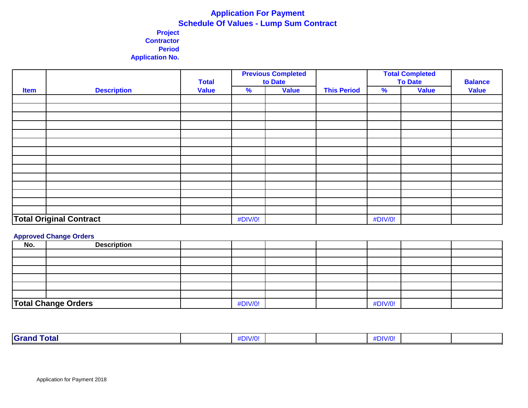# **Application For Payment Schedule Of Values - Lump Sum Contract**

# **Project Contractor Period Application No.**

|             |                                |              | <b>Previous Completed</b><br><b>Total</b><br>to Date<br><b>Value</b><br><b>This Period</b><br>% |  |  | <b>Total Completed</b><br><b>To Date</b> | <b>Balance</b> |              |
|-------------|--------------------------------|--------------|-------------------------------------------------------------------------------------------------|--|--|------------------------------------------|----------------|--------------|
| <b>Item</b> | <b>Description</b>             | <b>Value</b> |                                                                                                 |  |  | $\frac{9}{6}$<br><b>Value</b>            |                | <b>Value</b> |
|             |                                |              |                                                                                                 |  |  |                                          |                |              |
|             |                                |              |                                                                                                 |  |  |                                          |                |              |
|             |                                |              |                                                                                                 |  |  |                                          |                |              |
|             |                                |              |                                                                                                 |  |  |                                          |                |              |
|             |                                |              |                                                                                                 |  |  |                                          |                |              |
|             |                                |              |                                                                                                 |  |  |                                          |                |              |
|             |                                |              |                                                                                                 |  |  |                                          |                |              |
|             |                                |              |                                                                                                 |  |  |                                          |                |              |
|             |                                |              |                                                                                                 |  |  |                                          |                |              |
|             |                                |              |                                                                                                 |  |  |                                          |                |              |
|             |                                |              |                                                                                                 |  |  |                                          |                |              |
|             |                                |              |                                                                                                 |  |  |                                          |                |              |
|             |                                |              |                                                                                                 |  |  |                                          |                |              |
|             |                                |              |                                                                                                 |  |  |                                          |                |              |
|             | <b>Total Original Contract</b> |              | #DIV/0!                                                                                         |  |  | #DIV/0!                                  |                |              |

#### **Approved Change Orders**

| . .<br>No. | <b>Description</b>         |         |  |         |  |
|------------|----------------------------|---------|--|---------|--|
|            |                            |         |  |         |  |
|            |                            |         |  |         |  |
|            |                            |         |  |         |  |
|            |                            |         |  |         |  |
|            |                            |         |  |         |  |
|            |                            |         |  |         |  |
|            | <b>Total Change Orders</b> | #DIV/0! |  | #DIV/0! |  |

| Grand<br>Total | <u>וס/עורי:</u><br>. |  | $+$ NN $H$<br>Ðľ |  |
|----------------|----------------------|--|------------------|--|
|                |                      |  |                  |  |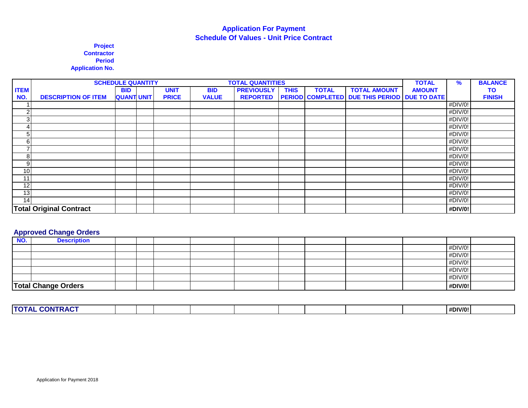# **Application For Payment Schedule Of Values - Unit Price Contract**

**Project Contractor Period Application No.**

|                 | <b>SCHEDULE QUANTITY</b><br><b>TOTAL QUANTITIES</b> |                   |  |              |              |                   |             | <b>TOTAL</b> | $\%$                                                | <b>BALANCE</b> |                             |               |
|-----------------|-----------------------------------------------------|-------------------|--|--------------|--------------|-------------------|-------------|--------------|-----------------------------------------------------|----------------|-----------------------------|---------------|
| <b>ITEM</b>     |                                                     | <b>BID</b>        |  | <b>UNIT</b>  | <b>BID</b>   | <b>PREVIOUSLY</b> | <b>THIS</b> | <b>TOTAL</b> | <b>TOTAL AMOUNT</b>                                 | <b>AMOUNT</b>  |                             | <b>TO</b>     |
| NO.             | <b>DESCRIPTION OF ITEM</b>                          | <b>QUANT UNIT</b> |  | <b>PRICE</b> | <b>VALUE</b> | <b>REPORTED</b>   |             |              | <b>PERIOD COMPLETED DUE THIS PERIOD DUE TO DATE</b> |                |                             | <b>FINISH</b> |
|                 |                                                     |                   |  |              |              |                   |             |              |                                                     |                | #DIV/0!                     |               |
| C               |                                                     |                   |  |              |              |                   |             |              |                                                     |                | #DIV/0!                     |               |
| $\mathbf{3}$    |                                                     |                   |  |              |              |                   |             |              |                                                     |                | #DIV/0!                     |               |
|                 |                                                     |                   |  |              |              |                   |             |              |                                                     |                | #DIV/0!                     |               |
| 5               |                                                     |                   |  |              |              |                   |             |              |                                                     |                | #DIV/0!                     |               |
| 6               |                                                     |                   |  |              |              |                   |             |              |                                                     |                | #DIV/0!                     |               |
|                 |                                                     |                   |  |              |              |                   |             |              |                                                     |                | #DIV/0!                     |               |
| 8 <sup>1</sup>  |                                                     |                   |  |              |              |                   |             |              |                                                     |                | $\overline{\text{HDIV}}$ 0! |               |
| 9               |                                                     |                   |  |              |              |                   |             |              |                                                     |                | #DIV/0!                     |               |
| 10 <sub>l</sub> |                                                     |                   |  |              |              |                   |             |              |                                                     |                | #DIV/0!                     |               |
| 11              |                                                     |                   |  |              |              |                   |             |              |                                                     |                | #DIV/0!                     |               |
| 12              |                                                     |                   |  |              |              |                   |             |              |                                                     |                | #DIV/0!                     |               |
| 13              |                                                     |                   |  |              |              |                   |             |              |                                                     |                | #DIV/0!                     |               |
| 14 <sub>l</sub> |                                                     |                   |  |              |              |                   |             |              |                                                     |                | #DIV/0!                     |               |
|                 | <b>Total Original Contract</b>                      |                   |  |              |              |                   |             |              |                                                     |                | #DIV/0!                     |               |

# **Approved Change Orders**

| <b>Description</b> |                            |  |  |  |  |                                                                |
|--------------------|----------------------------|--|--|--|--|----------------------------------------------------------------|
|                    |                            |  |  |  |  |                                                                |
|                    |                            |  |  |  |  |                                                                |
|                    |                            |  |  |  |  |                                                                |
|                    |                            |  |  |  |  |                                                                |
|                    |                            |  |  |  |  |                                                                |
|                    |                            |  |  |  |  |                                                                |
|                    | <b>Total Change Orders</b> |  |  |  |  | #DIV/0!<br>#DIV/0!<br>#DIV/0!<br>#DIV/0!<br>#DIV/0!<br>#DIV/0! |

| <b>FRACT</b><br><b>TOTAL</b><br>.<br>.on |  |  |  |  | #DIV/0! |  |
|------------------------------------------|--|--|--|--|---------|--|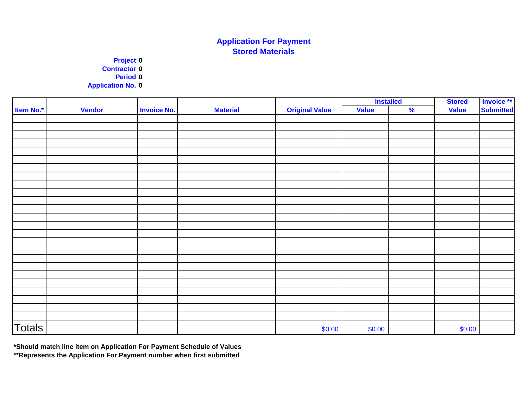# **Application For Payment Stored Materials**

**Project 0 Contractor 0 Period 0 Application No. 0**

|               |               |                    |                 |                       | <b>Installed</b> |               | <b>Stored</b> | Invoice **       |
|---------------|---------------|--------------------|-----------------|-----------------------|------------------|---------------|---------------|------------------|
| Item No.*     | <b>Vendor</b> | <b>Invoice No.</b> | <b>Material</b> | <b>Original Value</b> | Value            | $\frac{9}{6}$ | <b>Value</b>  | <b>Submitted</b> |
|               |               |                    |                 |                       |                  |               |               |                  |
|               |               |                    |                 |                       |                  |               |               |                  |
|               |               |                    |                 |                       |                  |               |               |                  |
|               |               |                    |                 |                       |                  |               |               |                  |
|               |               |                    |                 |                       |                  |               |               |                  |
|               |               |                    |                 |                       |                  |               |               |                  |
|               |               |                    |                 |                       |                  |               |               |                  |
|               |               |                    |                 |                       |                  |               |               |                  |
|               |               |                    |                 |                       |                  |               |               |                  |
|               |               |                    |                 |                       |                  |               |               |                  |
|               |               |                    |                 |                       |                  |               |               |                  |
|               |               |                    |                 |                       |                  |               |               |                  |
|               |               |                    |                 |                       |                  |               |               |                  |
|               |               |                    |                 |                       |                  |               |               |                  |
|               |               |                    |                 |                       |                  |               |               |                  |
|               |               |                    |                 |                       |                  |               |               |                  |
|               |               |                    |                 |                       |                  |               |               |                  |
|               |               |                    |                 |                       |                  |               |               |                  |
|               |               |                    |                 |                       |                  |               |               |                  |
|               |               |                    |                 |                       |                  |               |               |                  |
|               |               |                    |                 |                       |                  |               |               |                  |
|               |               |                    |                 |                       |                  |               |               |                  |
|               |               |                    |                 |                       |                  |               |               |                  |
|               |               |                    |                 |                       |                  |               |               |                  |
|               |               |                    |                 |                       |                  |               |               |                  |
| <b>Totals</b> |               |                    |                 | \$0.00                | \$0.00           |               | \$0.00        |                  |

**\*Should match line item on Application For Payment Schedule of Values** 

**\*\*Represents the Application For Payment number when first submitted**